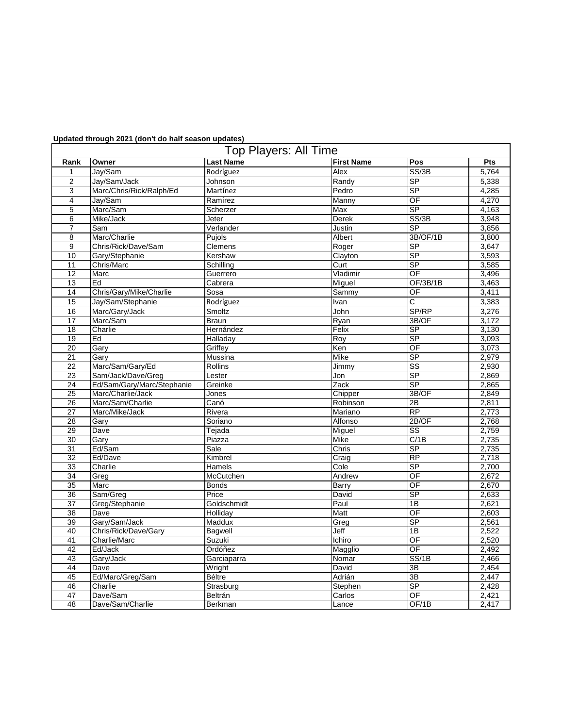## **Updated through 2021 (don't do half season updates)**

| <b>Top Players: All Time</b> |                            |                  |                   |                          |       |  |  |  |  |
|------------------------------|----------------------------|------------------|-------------------|--------------------------|-------|--|--|--|--|
| Rank                         | Owner                      | <b>Last Name</b> | <b>First Name</b> | Pos                      | Pts   |  |  |  |  |
| 1                            | Jay/Sam                    | Rodríguez        | Alex              | SS/3B                    | 5,764 |  |  |  |  |
| $\overline{c}$               | Jay/Sam/Jack               | Johnson          | Randy             | <b>SP</b>                | 5,338 |  |  |  |  |
| 3                            | Marc/Chris/Rick/Ralph/Ed   | Martínez         | Pedro             | SP                       | 4,285 |  |  |  |  |
| 4                            | Jay/Sam                    | Ramírez          | Manny             | OF                       | 4,270 |  |  |  |  |
| 5                            | Marc/Sam                   | Scherzer         | Max               | <b>SP</b>                | 4,163 |  |  |  |  |
| 6                            | Mike/Jack                  | Jeter            | Derek             | SS/3B                    | 3,948 |  |  |  |  |
| $\overline{7}$               | Sam                        | Verlander        | Justin            | <b>SP</b>                | 3,856 |  |  |  |  |
| 8                            | Marc/Charlie               | Pujols           | Albert            | 3B/OF/1B                 | 3,800 |  |  |  |  |
| 9                            | Chris/Rick/Dave/Sam        | Clemens          | Roger             | SP                       | 3,647 |  |  |  |  |
| 10                           | Gary/Stephanie             | Kershaw          | Clayton           | <b>SP</b>                | 3,593 |  |  |  |  |
| 11                           | Chris/Marc                 | Schilling        | Curt              | SP                       | 3,585 |  |  |  |  |
| 12                           | Marc                       | Guerrero         | Vladimir          | OF                       | 3,496 |  |  |  |  |
| 13                           | Ed                         | Cabrera          | Miguel            | OF/3B/1B                 | 3,463 |  |  |  |  |
| 14                           | Chris/Gary/Mike/Charlie    | Sosa             | Sammy             | OF                       | 3,411 |  |  |  |  |
| 15                           | Jay/Sam/Stephanie          | Rodríguez        | Ivan              | $\overline{\text{c}}$    | 3,383 |  |  |  |  |
| 16                           | Marc/Gary/Jack             | Smoltz           | John              | SP/RP                    | 3,276 |  |  |  |  |
| 17                           | Marc/Sam                   | <b>Braun</b>     | Ryan              | 3B/OF                    | 3,172 |  |  |  |  |
| 18                           | Charlie                    | Hernández        | Felix             | <b>SP</b>                | 3,130 |  |  |  |  |
| 19                           | Ed                         | Halladay         | Roy               | <b>SP</b>                | 3,093 |  |  |  |  |
| 20                           | Gary                       | Griffey          | Ken               | $\overline{\mathsf{OF}}$ | 3,073 |  |  |  |  |
| 21                           | Garv                       | Mussina          | Mike              | <b>SP</b>                | 2,979 |  |  |  |  |
| 22                           | Marc/Sam/Gary/Ed           | <b>Rollins</b>   | Jimmy             | $\overline{\text{ss}}$   | 2,930 |  |  |  |  |
| 23                           | Sam/Jack/Dave/Greg         | Lester           | Jon               | <b>SP</b>                | 2,869 |  |  |  |  |
| 24                           | Ed/Sam/Gary/Marc/Stephanie | Greinke          | Zack              | SP                       | 2,865 |  |  |  |  |
| 25                           | Marc/Charlie/Jack          | Jones            | Chipper           | 3B/OF                    | 2,849 |  |  |  |  |
| 26                           | Marc/Sam/Charlie           | Canó             | Robinson          | 2B                       | 2,811 |  |  |  |  |
| 27                           | Marc/Mike/Jack             | Rivera           | Mariano           | <b>RP</b>                | 2,773 |  |  |  |  |
| 28                           | Gary                       | Soriano          | Alfonso           | 2B/OF                    | 2,768 |  |  |  |  |
| 29                           | Dave                       | Tejada           | Miguel            | SS                       | 2,759 |  |  |  |  |
| 30                           | Gary                       | Piazza           | Mike              | C/1B                     | 2,735 |  |  |  |  |
| 31                           | Ed/Sam                     | Sale             | Chris             | SP                       | 2,735 |  |  |  |  |
| 32                           | Ed/Dave                    | Kimbrel          | Craig             | <b>RP</b>                | 2,718 |  |  |  |  |
| 33                           | Charlie                    | Hamels           | Cole              | <b>SP</b>                | 2,700 |  |  |  |  |
| 34                           | Greg                       | McCutchen        | Andrew            | OF                       | 2,672 |  |  |  |  |
| 35                           | Marc                       | <b>Bonds</b>     | Barry             | OF                       | 2,670 |  |  |  |  |
| 36                           | Sam/Greg                   | Price            | David             | SP                       | 2,633 |  |  |  |  |
| 37                           | Greg/Stephanie             | Goldschmidt      | Paul              | 1B                       | 2,621 |  |  |  |  |
| 38                           | Dave                       | Holliday         | Matt              | OF                       | 2,603 |  |  |  |  |
| 39                           | Gary/Sam/Jack              | Maddux           | Greg              | SP                       | 2,561 |  |  |  |  |
| 40                           | Chris/Rick/Dave/Gary       | Bagwell          | Jeff              | 1B                       | 2,522 |  |  |  |  |
| 41                           | Charlie/Marc               | Suzuki           | Ichiro            | $\overline{OF}$          | 2,520 |  |  |  |  |
| 42                           | Ed/Jack                    | Ordóñez          | Magglio           | $\overline{OF}$          | 2,492 |  |  |  |  |
| 43                           | Gary/Jack                  | Garciaparra      | Nomar             | SS/1B                    | 2,466 |  |  |  |  |
| 44                           | Dave                       | Wright           | David             | 3B                       | 2,454 |  |  |  |  |
| 45                           | Ed/Marc/Greg/Sam           | <b>Béltre</b>    | Adrián            | $\overline{3B}$          | 2,447 |  |  |  |  |
| 46                           | Charlie                    | Strasburg        | Stephen           | SP                       | 2,428 |  |  |  |  |
| 47                           | Dave/Sam                   | Beltrán          | Carlos            | $\overline{\mathsf{OF}}$ | 2,421 |  |  |  |  |
| 48                           | Dave/Sam/Charlie           | Berkman          | Lance             | OF/1B                    | 2,417 |  |  |  |  |
|                              |                            |                  |                   |                          |       |  |  |  |  |